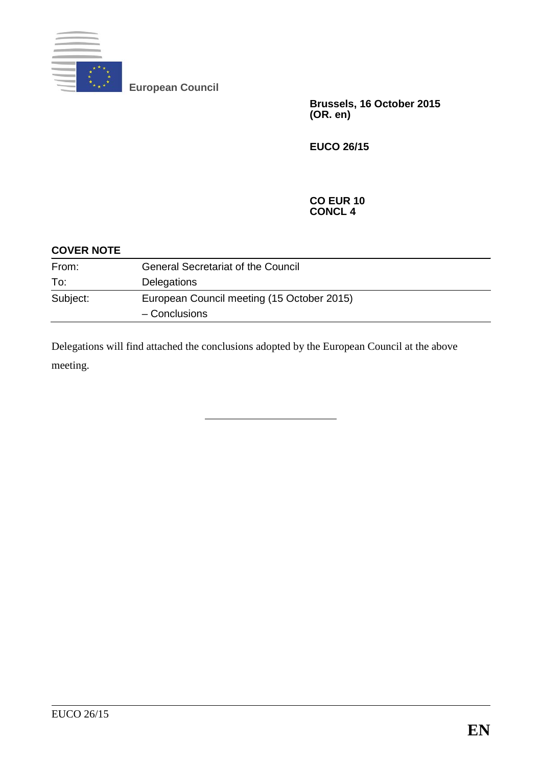

**European Council**

**Brussels, 16 October 2015 (OR. en)**

**EUCO 26/15**

### **CO EUR 10 CONCL 4**

| <b>COVER NOTE</b> |                                            |
|-------------------|--------------------------------------------|
| From:             | <b>General Secretariat of the Council</b>  |
| To:               | Delegations                                |
| Subject:          | European Council meeting (15 October 2015) |
|                   | - Conclusions                              |

Delegations will find attached the conclusions adopted by the European Council at the above meeting.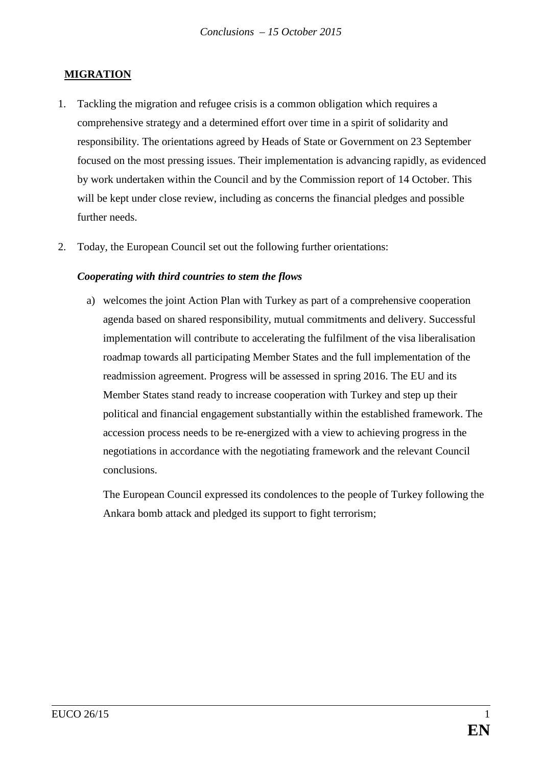## **MIGRATION**

- 1. Tackling the migration and refugee crisis is a common obligation which requires a comprehensive strategy and a determined effort over time in a spirit of solidarity and responsibility. The orientations agreed by Heads of State or Government on 23 September focused on the most pressing issues. Their implementation is advancing rapidly, as evidenced by work undertaken within the Council and by the Commission report of 14 October. This will be kept under close review, including as concerns the financial pledges and possible further needs.
- 2. Today, the European Council set out the following further orientations:

### *Cooperating with third countries to stem the flows*

a) welcomes the joint Action Plan with Turkey as part of a comprehensive cooperation agenda based on shared responsibility, mutual commitments and delivery. Successful implementation will contribute to accelerating the fulfilment of the visa liberalisation roadmap towards all participating Member States and the full implementation of the readmission agreement. Progress will be assessed in spring 2016. The EU and its Member States stand ready to increase cooperation with Turkey and step up their political and financial engagement substantially within the established framework. The accession process needs to be re-energized with a view to achieving progress in the negotiations in accordance with the negotiating framework and the relevant Council conclusions.

The European Council expressed its condolences to the people of Turkey following the Ankara bomb attack and pledged its support to fight terrorism;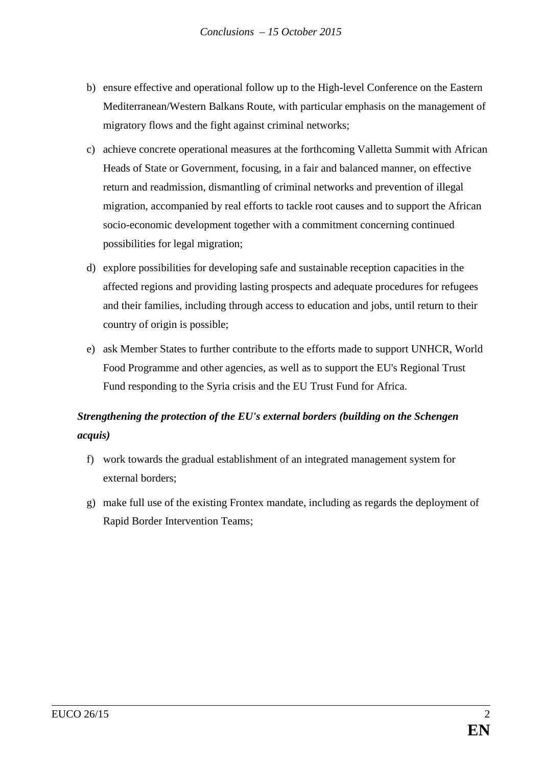- b) ensure effective and operational follow up to the High-level Conference on the Eastern Mediterranean/Western Balkans Route, with particular emphasis on the management of migratory flows and the fight against criminal networks;
- c) achieve concrete operational measures at the forthcoming Valletta Summit with African Heads of State or Government, focusing, in a fair and balanced manner, on effective return and readmission, dismantling of criminal networks and prevention of illegal migration, accompanied by real efforts to tackle root causes and to support the African socio-economic development together with a commitment concerning continued possibilities for legal migration;
- d) explore possibilities for developing safe and sustainable reception capacities in the affected regions and providing lasting prospects and adequate procedures for refugees and their families, including through access to education and jobs, until return to their country of origin is possible;
- e) ask Member States to further contribute to the efforts made to support UNHCR, World Food Programme and other agencies, as well as to support the EU's Regional Trust Fund responding to the Syria crisis and the EU Trust Fund for Africa.

# *Strengthening the protection of the EU's external borders (building on the Schengen acquis)*

- f) work towards the gradual establishment of an integrated management system for external borders;
- g) make full use of the existing Frontex mandate, including as regards the deployment of Rapid Border Intervention Teams;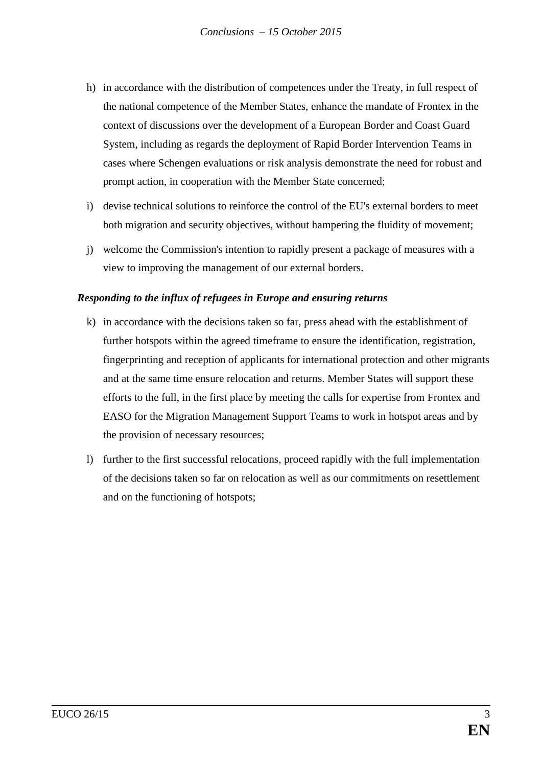- h) in accordance with the distribution of competences under the Treaty, in full respect of the national competence of the Member States, enhance the mandate of Frontex in the context of discussions over the development of a European Border and Coast Guard System, including as regards the deployment of Rapid Border Intervention Teams in cases where Schengen evaluations or risk analysis demonstrate the need for robust and prompt action, in cooperation with the Member State concerned;
- i) devise technical solutions to reinforce the control of the EU's external borders to meet both migration and security objectives, without hampering the fluidity of movement;
- j) welcome the Commission's intention to rapidly present a package of measures with a view to improving the management of our external borders.

## *Responding to the influx of refugees in Europe and ensuring returns*

- k) in accordance with the decisions taken so far, press ahead with the establishment of further hotspots within the agreed timeframe to ensure the identification, registration, fingerprinting and reception of applicants for international protection and other migrants and at the same time ensure relocation and returns. Member States will support these efforts to the full, in the first place by meeting the calls for expertise from Frontex and EASO for the Migration Management Support Teams to work in hotspot areas and by the provision of necessary resources;
- l) further to the first successful relocations, proceed rapidly with the full implementation of the decisions taken so far on relocation as well as our commitments on resettlement and on the functioning of hotspots;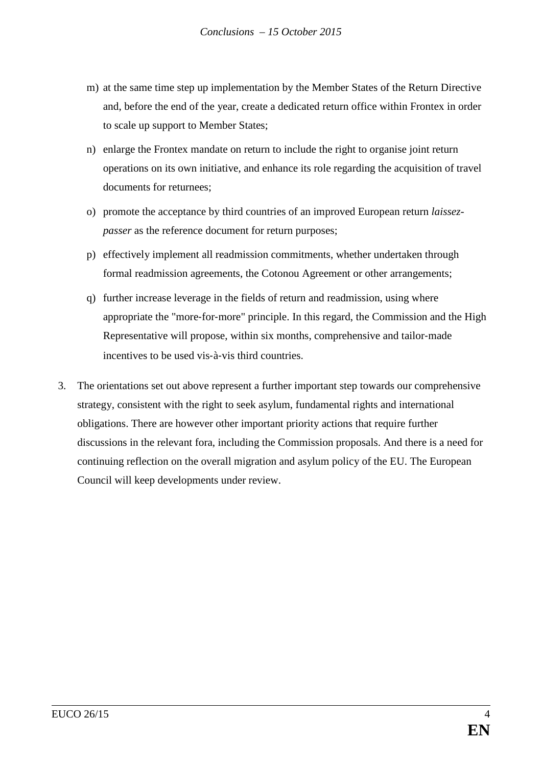- m) at the same time step up implementation by the Member States of the Return Directive and, before the end of the year, create a dedicated return office within Frontex in order to scale up support to Member States;
- n) enlarge the Frontex mandate on return to include the right to organise joint return operations on its own initiative, and enhance its role regarding the acquisition of travel documents for returnees;
- o) promote the acceptance by third countries of an improved European return *laissezpasser* as the reference document for return purposes;
- p) effectively implement all readmission commitments, whether undertaken through formal readmission agreements, the Cotonou Agreement or other arrangements;
- q) further increase leverage in the fields of return and readmission, using where appropriate the "more‐for‐more" principle. In this regard, the Commission and the High Representative will propose, within six months, comprehensive and tailor-made incentives to be used vis‐à‐vis third countries.
- 3. The orientations set out above represent a further important step towards our comprehensive strategy, consistent with the right to seek asylum, fundamental rights and international obligations. There are however other important priority actions that require further discussions in the relevant fora, including the Commission proposals. And there is a need for continuing reflection on the overall migration and asylum policy of the EU. The European Council will keep developments under review.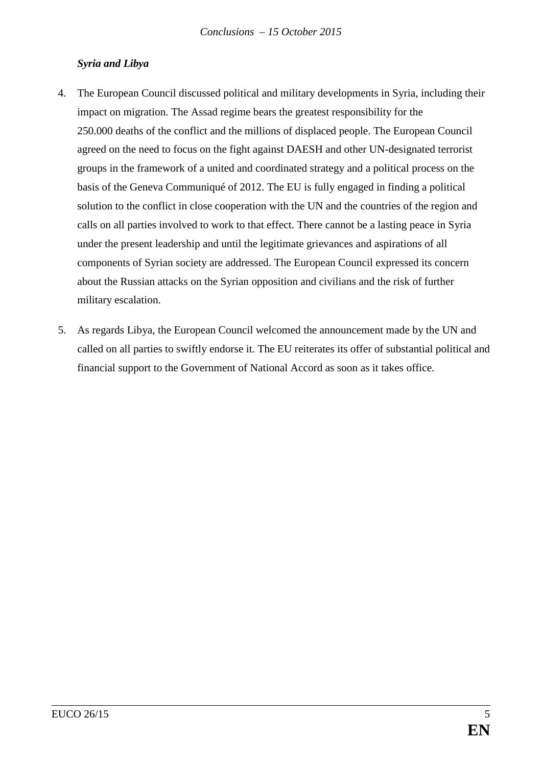## *Syria and Libya*

- 4. The European Council discussed political and military developments in Syria, including their impact on migration. The Assad regime bears the greatest responsibility for the 250.000 deaths of the conflict and the millions of displaced people. The European Council agreed on the need to focus on the fight against DAESH and other UN-designated terrorist groups in the framework of a united and coordinated strategy and a political process on the basis of the Geneva Communiqué of 2012. The EU is fully engaged in finding a political solution to the conflict in close cooperation with the UN and the countries of the region and calls on all parties involved to work to that effect. There cannot be a lasting peace in Syria under the present leadership and until the legitimate grievances and aspirations of all components of Syrian society are addressed. The European Council expressed its concern about the Russian attacks on the Syrian opposition and civilians and the risk of further military escalation.
- 5. As regards Libya, the European Council welcomed the announcement made by the UN and called on all parties to swiftly endorse it. The EU reiterates its offer of substantial political and financial support to the Government of National Accord as soon as it takes office.